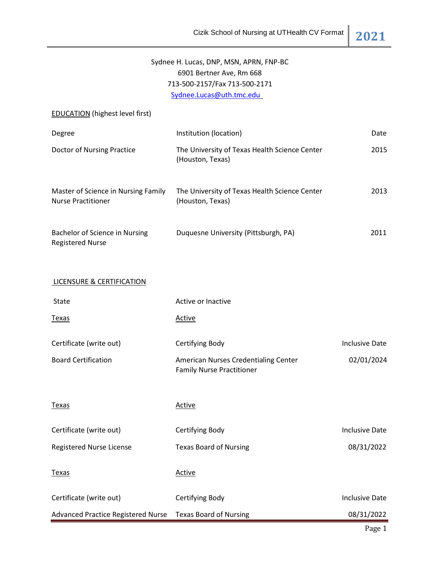| Sydnee H. Lucas, DNP, MSN, APRN, FNP-BC<br>6901 Bertner Ave, Rm 668 |                                                                          |                       |  |  |  |
|---------------------------------------------------------------------|--------------------------------------------------------------------------|-----------------------|--|--|--|
|                                                                     | 713-500-2157/Fax 713-500-2171                                            |                       |  |  |  |
| Sydnee.Lucas@uth.tmc.edu                                            |                                                                          |                       |  |  |  |
| <b>EDUCATION</b> (highest level first)                              |                                                                          |                       |  |  |  |
| Degree                                                              | Institution (location)                                                   | Date                  |  |  |  |
| <b>Doctor of Nursing Practice</b>                                   | The University of Texas Health Science Center<br>(Houston, Texas)        | 2015                  |  |  |  |
| Master of Science in Nursing Family<br><b>Nurse Practitioner</b>    | The University of Texas Health Science Center<br>(Houston, Texas)        | 2013                  |  |  |  |
| Bachelor of Science in Nursing<br><b>Registered Nurse</b>           | Duquesne University (Pittsburgh, PA)                                     | 2011                  |  |  |  |
| <b>LICENSURE &amp; CERTIFICATION</b>                                |                                                                          |                       |  |  |  |
| State                                                               | Active or Inactive                                                       |                       |  |  |  |
| <u>Texas</u>                                                        | <b>Active</b>                                                            |                       |  |  |  |
| Certificate (write out)                                             | Certifying Body                                                          | <b>Inclusive Date</b> |  |  |  |
| <b>Board Certification</b>                                          | American Nurses Credentialing Center<br><b>Family Nurse Practitioner</b> | 02/01/2024            |  |  |  |
| Texas                                                               | <b>Active</b>                                                            |                       |  |  |  |
| Certificate (write out)                                             | Certifying Body                                                          | <b>Inclusive Date</b> |  |  |  |
| Registered Nurse License                                            | <b>Texas Board of Nursing</b>                                            | 08/31/2022            |  |  |  |
| <b>Texas</b>                                                        | <b>Active</b>                                                            |                       |  |  |  |
| Certificate (write out)                                             | Certifying Body                                                          | <b>Inclusive Date</b> |  |  |  |
| <b>Advanced Practice Registered Nurse</b>                           | <b>Texas Board of Nursing</b>                                            | 08/31/2022            |  |  |  |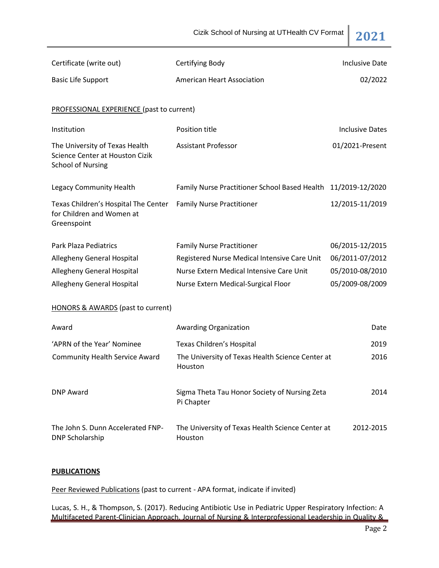Cizik School of Nursing at UTHealth CV Format **2021**

| Certificate (write out)                                                                       | Certifying Body                                               | <b>Inclusive Date</b>  |
|-----------------------------------------------------------------------------------------------|---------------------------------------------------------------|------------------------|
| <b>Basic Life Support</b>                                                                     | <b>American Heart Association</b>                             | 02/2022                |
| <b>PROFESSIONAL EXPERIENCE (past to current)</b>                                              |                                                               |                        |
| Institution                                                                                   | Position title                                                | <b>Inclusive Dates</b> |
| The University of Texas Health<br>Science Center at Houston Cizik<br><b>School of Nursing</b> | <b>Assistant Professor</b>                                    | 01/2021-Present        |
| Legacy Community Health                                                                       | Family Nurse Practitioner School Based Health 11/2019-12/2020 |                        |
| Texas Children's Hospital The Center<br>for Children and Women at<br>Greenspoint              | <b>Family Nurse Practitioner</b>                              | 12/2015-11/2019        |
| <b>Park Plaza Pediatrics</b>                                                                  | <b>Family Nurse Practitioner</b>                              | 06/2015-12/2015        |
| <b>Allegheny General Hospital</b>                                                             | Registered Nurse Medical Intensive Care Unit                  | 06/2011-07/2012        |
| Allegheny General Hospital                                                                    | Nurse Extern Medical Intensive Care Unit                      | 05/2010-08/2010        |
| Allegheny General Hospital                                                                    | Nurse Extern Medical-Surgical Floor                           | 05/2009-08/2009        |
| <b>HONORS &amp; AWARDS</b> (past to current)                                                  |                                                               |                        |
| Award                                                                                         | <b>Awarding Organization</b>                                  | Date                   |
| 'APRN of the Year' Nominee                                                                    | Texas Children's Hospital                                     | 2019                   |
| <b>Community Health Service Award</b>                                                         | The University of Texas Health Science Center at<br>Houston   | 2016                   |
| <b>DNP Award</b>                                                                              | Sigma Theta Tau Honor Society of Nursing Zeta<br>Pi Chapter   | 2014                   |
| The John S. Dunn Accelerated FNP-<br><b>DNP Scholarship</b>                                   | The University of Texas Health Science Center at<br>Houston   | 2012-2015              |

# **PUBLICATIONS**

Peer Reviewed Publications (past to current - APA format, indicate if invited)

Lucas, S. H., & Thompson, S. (2017). Reducing Antibiotic Use in Pediatric Upper Respiratory Infection: A Multifaceted Parent-Clinician Approach. Journal of Nursing & Interprofessional Leadership in Quality &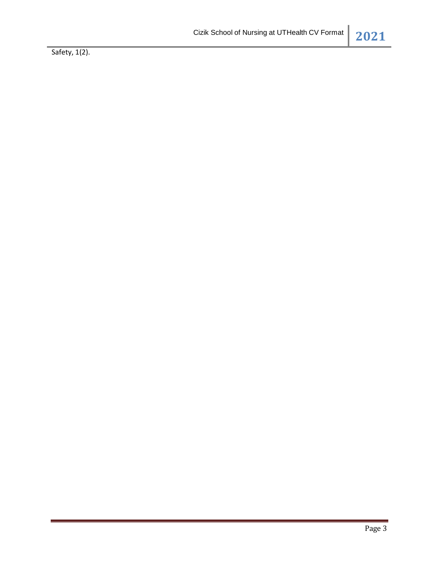Safety, 1(2).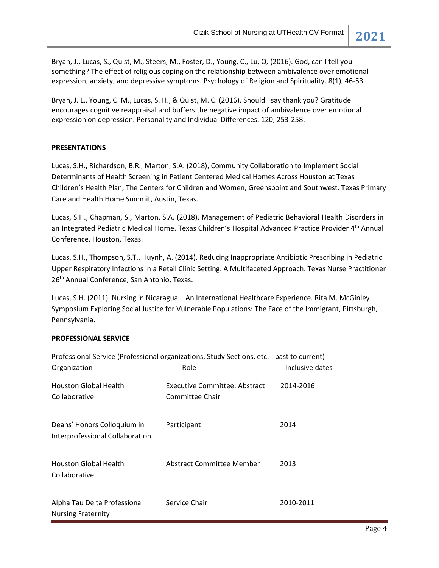Bryan, J., Lucas, S., Quist, M., Steers, M., Foster, D., Young, C., Lu, Q. (2016). God, can I tell you something? The effect of religious coping on the relationship between ambivalence over emotional expression, anxiety, and depressive symptoms. Psychology of Religion and Spirituality. 8(1), 46-53.

Bryan, J. L., Young, C. M., Lucas, S. H., & Quist, M. C. (2016). Should I say thank you? Gratitude encourages cognitive reappraisal and buffers the negative impact of ambivalence over emotional expression on depression. Personality and Individual Differences. 120, 253-258.

# **PRESENTATIONS**

Lucas, S.H., Richardson, B.R., Marton, S.A. (2018), Community Collaboration to Implement Social Determinants of Health Screening in Patient Centered Medical Homes Across Houston at Texas Children's Health Plan, The Centers for Children and Women, Greenspoint and Southwest. Texas Primary Care and Health Home Summit, Austin, Texas.

Lucas, S.H., Chapman, S., Marton, S.A. (2018). Management of Pediatric Behavioral Health Disorders in an Integrated Pediatric Medical Home. Texas Children's Hospital Advanced Practice Provider 4<sup>th</sup> Annual Conference, Houston, Texas.

Lucas, S.H., Thompson, S.T., Huynh, A. (2014). Reducing Inappropriate Antibiotic Prescribing in Pediatric Upper Respiratory Infections in a Retail Clinic Setting: A Multifaceted Approach. Texas Nurse Practitioner 26<sup>th</sup> Annual Conference, San Antonio, Texas.

Lucas, S.H. (2011). Nursing in Nicaragua – An International Healthcare Experience. Rita M. McGinley Symposium Exploring Social Justice for Vulnerable Populations: The Face of the Immigrant, Pittsburgh, Pennsylvania.

# **PROFESSIONAL SERVICE**

| Professional Service (Professional organizations, Study Sections, etc. - past to current) |                                                  |                 |  |  |
|-------------------------------------------------------------------------------------------|--------------------------------------------------|-----------------|--|--|
| Organization                                                                              | Role                                             | Inclusive dates |  |  |
| <b>Houston Global Health</b><br>Collaborative                                             | Executive Committee: Abstract<br>Committee Chair | 2014-2016       |  |  |
| Deans' Honors Colloquium in<br>Interprofessional Collaboration                            | Participant                                      | 2014            |  |  |
| <b>Houston Global Health</b><br>Collaborative                                             | Abstract Committee Member                        | 2013            |  |  |
| Alpha Tau Delta Professional<br><b>Nursing Fraternity</b>                                 | Service Chair                                    | 2010-2011       |  |  |